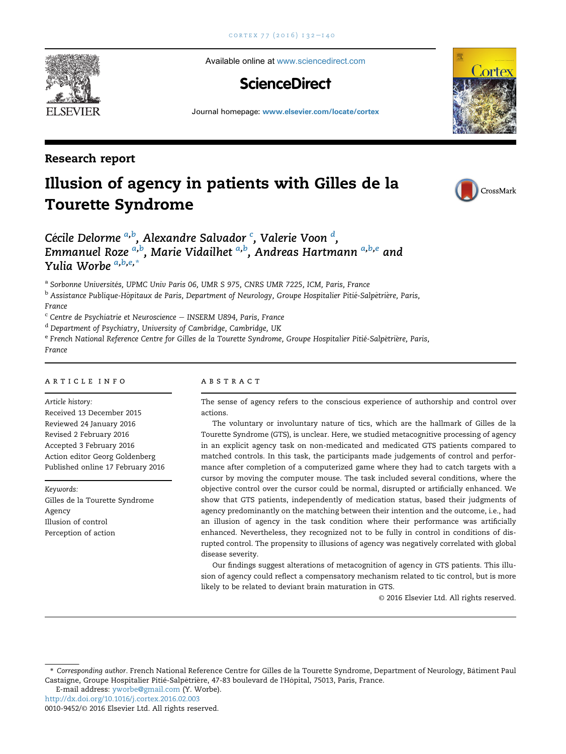Available online at [www.sciencedirect.com](www.sciencedirect.com/science/journal/00109452)

# **ScienceDirect**

Journal homepage: <www.elsevier.com/locate/cortex>

### Research report

# Illusion of agency in patients with Gilles de la Tourette Syndrome



<sup>a</sup> Sorbonne Universités, UPMC Univ Paris 06, UMR S 975, CNRS UMR 7225, ICM, Paris, France

<sup>b</sup> Assistance Publique-Hôpitaux de Paris, Department of Neurology, Groupe Hospitalier Pitié-Salpêtrière, Paris, France

 $\degree$  Centre de Psychiatrie et Neuroscience – INSERM U894, Paris, France

<sup>d</sup> Department of Psychiatry, University of Cambridge, Cambridge, UK

e French National Reference Centre for Gilles de la Tourette Syndrome, Groupe Hospitalier Pitié-Salpêtrière, Paris, France

#### article info

Article history: Received 13 December 2015 Reviewed 24 January 2016 Revised 2 February 2016 Accepted 3 February 2016 Action editor Georg Goldenberg

Keywords: Gilles de la Tourette Syndrome Agency Illusion of control Perception of action

Published online 17 February 2016

#### **ABSTRACT**

The sense of agency refers to the conscious experience of authorship and control over actions.

The voluntary or involuntary nature of tics, which are the hallmark of Gilles de la Tourette Syndrome (GTS), is unclear. Here, we studied metacognitive processing of agency in an explicit agency task on non-medicated and medicated GTS patients compared to matched controls. In this task, the participants made judgements of control and performance after completion of a computerized game where they had to catch targets with a cursor by moving the computer mouse. The task included several conditions, where the objective control over the cursor could be normal, disrupted or artificially enhanced. We show that GTS patients, independently of medication status, based their judgments of agency predominantly on the matching between their intention and the outcome, i.e., had an illusion of agency in the task condition where their performance was artificially enhanced. Nevertheless, they recognized not to be fully in control in conditions of disrupted control. The propensity to illusions of agency was negatively correlated with global disease severity.

Our findings suggest alterations of metacognition of agency in GTS patients. This illusion of agency could reflect a compensatory mechanism related to tic control, but is more likely to be related to deviant brain maturation in GTS.

© 2016 Elsevier Ltd. All rights reserved.

\* Corresponding author. French National Reference Centre for Gilles de la Tourette Syndrome, Department of Neurology, Batiment Paul ^ Castaigne, Groupe Hospitalier Pitié-Salpêtrière, 47-83 boulevard de l'Hôpital, 75013, Paris, France.

E-mail address: [yworbe@gmail.com](mailto:yworbe@gmail.com) (Y. Worbe).

<http://dx.doi.org/10.1016/j.cortex.2016.02.003>

0010-9452/© 2016 Elsevier Ltd. All rights reserved.





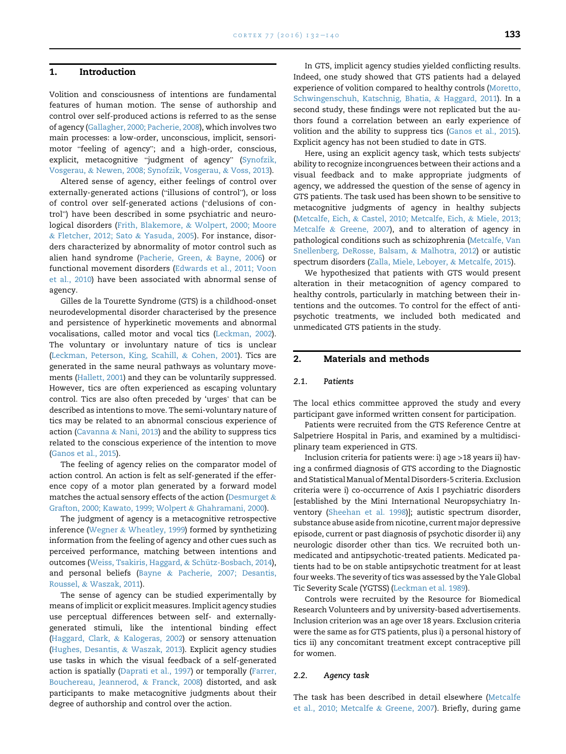#### 1. Introduction

Volition and consciousness of intentions are fundamental features of human motion. The sense of authorship and control over self-produced actions is referred to as the sense of agency (Gallagher, 2000; Pacherie, 2008), which involves two main processes: a low-order, unconscious, implicit, sensorimain processes: a low-order, unconscious, implicit, sensori-<br>motor "feeling of agency"; and a high-order, conscious, notor "feeling of agency"; and a high-order, conscious,<br>explicit, metacognitive "judgment of agency" (Synofzik, Vosgerau, & Newen, 2008; Synofzik, Vosgerau, & Voss, 2013).

Altered sense of agency, either feelings of control over externally-generated actions ("illusions of control"), or loss externally-generated actions ("illusions of control"), or loss<br>of control over self-generated actions ("delusions of control") have been described in some psychiatric and neurological disorders (Frith, Blakemore, & Wolpert, 2000; Moore & Fletcher, 2012; Sato & Yasuda, 2005). For instance, disorders characterized by abnormality of motor control such as alien hand syndrome (Pacherie, Green, & Bayne, 2006) or functional movement disorders (Edwards et al., 2011; Voon et al., 2010) have been associated with abnormal sense of agency.

Gilles de la Tourette Syndrome (GTS) is a childhood-onset neurodevelopmental disorder characterised by the presence and persistence of hyperkinetic movements and abnormal vocalisations, called motor and vocal tics (Leckman, 2002). The voluntary or involuntary nature of tics is unclear (Leckman, Peterson, King, Scahill, & Cohen, 2001). Tics are generated in the same neural pathways as voluntary movements (Hallett, 2001) and they can be voluntarily suppressed. However, tics are often experienced as escaping voluntary control. Tics are also often preceded by 'urges' that can be described as intentions to move. The semi-voluntary nature of tics may be related to an abnormal conscious experience of action (Cavanna & Nani, 2013) and the ability to suppress tics related to the conscious experience of the intention to move (Ganos et al., 2015).

The feeling of agency relies on the comparator model of action control. An action is felt as self-generated if the efference copy of a motor plan generated by a forward model matches the actual sensory effects of the action (Desmurget  $\&$ Grafton, 2000; Kawato, 1999; Wolpert & Ghahramani, 2000).

The judgment of agency is a metacognitive retrospective inference (Wegner & Wheatley, 1999) formed by synthetizing information from the feeling of agency and other cues such as perceived performance, matching between intentions and outcomes (Weiss, Tsakiris, Haggard, & Schütz-Bosbach, 2014), and personal beliefs (Bayne & Pacherie, 2007; Desantis, Roussel, & Waszak, 2011).

The sense of agency can be studied experimentally by means of implicit or explicit measures. Implicit agency studies use perceptual differences between self- and externallygenerated stimuli, like the intentional binding effect (Haggard, Clark, & Kalogeras, 2002) or sensory attenuation (Hughes, Desantis, & Waszak, 2013). Explicit agency studies use tasks in which the visual feedback of a self-generated action is spatially (Daprati et al., 1997) or temporally (Farrer, Bouchereau, Jeannerod, & Franck, 2008) distorted, and ask participants to make metacognitive judgments about their degree of authorship and control over the action.

In GTS, implicit agency studies yielded conflicting results. Indeed, one study showed that GTS patients had a delayed experience of volition compared to healthy controls (Moretto, Schwingenschuh, Katschnig, Bhatia, & Haggard, 2011). In a second study, these findings were not replicated but the authors found a correlation between an early experience of volition and the ability to suppress tics (Ganos et al., 2015). Explicit agency has not been studied to date in GTS.

Here, using an explicit agency task, which tests subjects' ability to recognize incongruences between their actions and a visual feedback and to make appropriate judgments of agency, we addressed the question of the sense of agency in GTS patients. The task used has been shown to be sensitive to metacognitive judgments of agency in healthy subjects (Metcalfe, Eich, & Castel, 2010; Metcalfe, Eich, & Miele, 2013; Metcalfe & Greene, 2007), and to alteration of agency in pathological conditions such as schizophrenia (Metcalfe, Van Snellenberg, DeRosse, Balsam, & Malhotra, 2012) or autistic spectrum disorders (Zalla, Miele, Leboyer, & Metcalfe, 2015).

We hypothesized that patients with GTS would present alteration in their metacognition of agency compared to healthy controls, particularly in matching between their intentions and the outcomes. To control for the effect of antipsychotic treatments, we included both medicated and unmedicated GTS patients in the study.

#### 2. Materials and methods

#### 2.1. Patients

The local ethics committee approved the study and every participant gave informed written consent for participation.

Patients were recruited from the GTS Reference Centre at Salpetriere Hospital in Paris, and examined by a multidisciplinary team experienced in GTS.

Inclusion criteria for patients were: i) age >18 years ii) having a confirmed diagnosis of GTS according to the Diagnostic and Statistical Manual of Mental Disorders-5 criteria. Exclusion criteria were i) co-occurrence of Axis I psychiatric disorders [established by the Mini International Neuropsychiatry Inventory (Sheehan et al. 1998)]; autistic spectrum disorder, substance abuse aside from nicotine, current major depressive episode, current or past diagnosis of psychotic disorder ii) any neurologic disorder other than tics. We recruited both unmedicated and antipsychotic-treated patients. Medicated patients had to be on stable antipsychotic treatment for at least four weeks. The severity of tics was assessed by the Yale Global Tic Severity Scale (YGTSS) (Leckman et al. 1989).

Controls were recruited by the Resource for Biomedical Research Volunteers and by university-based advertisements. Inclusion criterion was an age over 18 years. Exclusion criteria were the same as for GTS patients, plus i) a personal history of tics ii) any concomitant treatment except contraceptive pill for women.

#### 2.2. Agency task

The task has been described in detail elsewhere (Metcalfe et al., 2010; Metcalfe & Greene, 2007). Briefly, during game